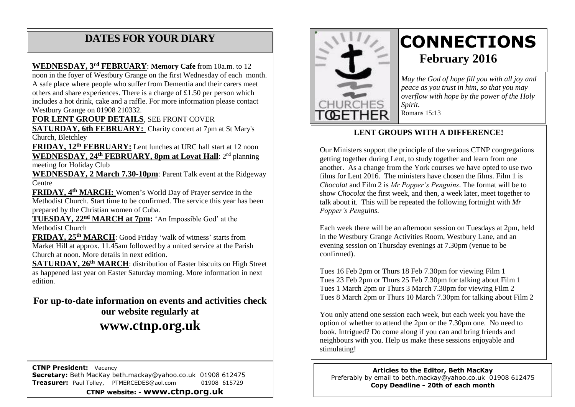# **DATES FOR YOUR DIARY**

 nn Westbury Grange on 01908 210332. A safe place where people who suffer from Dementia and their carers meet others and share experiences. There is a charge of £1.50 per person which **WEDNESDAY, 3 rd FEBRUARY**: **Memory Cafe** from 10a.m. to 12 noon in the foyer of Westbury Grange on the first Wednesday of each month. includes a hot drink, cake and a raffle. For more information please contact

**FOR LENT GROUP DETAILS**, SEE FRONT COVER

**SATURDAY, 6th FEBRUARY:** Charity concert at 7pm at St Mary's Church, Bletchley

**FRIDAY, 12th FEBRUARY:** Lent lunches at URC hall start at 12 noon **WEDNESDAY, 24th FEBRUARY, 8pm at Lovat Hall**: 2nd planning meeting for Holiday Club

**WEDNESDAY, 2 March 7.30-10pm**: Parent Talk event at the Ridgeway Centre

**FRIDAY, 4th MARCH:** Women's World Day of Prayer service in the Methodist Church. Start time to be confirmed. The service this year has been prepared by the Christian women of Cuba.

**TUESDAY, 22nd MARCH at 7pm:** 'An Impossible God' at the Methodist Church

**FRIDAY, 25th MARCH**: Good Friday 'walk of witness' starts from Market Hill at approx. 11.45am followed by a united service at the Parish Church at noon. More details in next edition.

**SATURDAY, 26th MARCH**: distribution of Easter biscuits on High Street as happened last year on Easter Saturday morning. More information in next edition.

**For up-to-date information on events and activities check our website regularly at www.ctnp.org.uk**

 **CTNP President:** Vacancy **Secretary:** Beth MacKay beth.mackay@yahoo.co.uk 01908 612475 **Treasurer:** Paul Tolley, PTMERCEDES@aol.com 01908 615729

**CTNP website: - www.ctnp.org.uk**



# **CONNECTIONS February 2016**

*May the God of hope fill you with all joy and peace as you trust in him, so that you may overflow with hope by the power of the Holy Spirit.* Romans 15:13

#### **LENT GROUPS WITH A DIFFERENCE!**

Our Ministers support the principle of the various CTNP congregations getting together during Lent, to study together and learn from one another. As a change from the York courses we have opted to use two films for Lent 2016. The ministers have chosen the films. Film 1 is *Chocolat* and Film 2 is *Mr Popper's Penguins*. The format will be to show *Chocolat* the first week, and then, a week later, meet together to talk about it. This will be repeated the following fortnight with *Mr Popper's Penguins*.

Each week there will be an afternoon session on Tuesdays at 2pm, held in the Westbury Grange Activities Room, Westbury Lane, and an evening session on Thursday evenings at 7.30pm (venue to be confirmed).

Tues 16 Feb 2pm or Thurs 18 Feb 7.30pm for viewing Film 1 Tues 23 Feb 2pm or Thurs 25 Feb 7.30pm for talking about Film 1 Tues 1 March 2pm or Thurs 3 March 7.30pm for viewing Film 2 Tues 8 March 2pm or Thurs 10 March 7.30pm for talking about Film 2

You only attend one session each week, but each week you have the option of whether to attend the 2pm or the 7.30pm one. No need to book. Intrigued? Do come along if you can and bring friends and neighbours with you. Help us make these sessions enjoyable and stimulating!

**Articles to the Editor, Beth MacKay** Preferably by email to beth.mackay@yahoo.co.uk 01908 612475 **Copy Deadline - 20th of each month**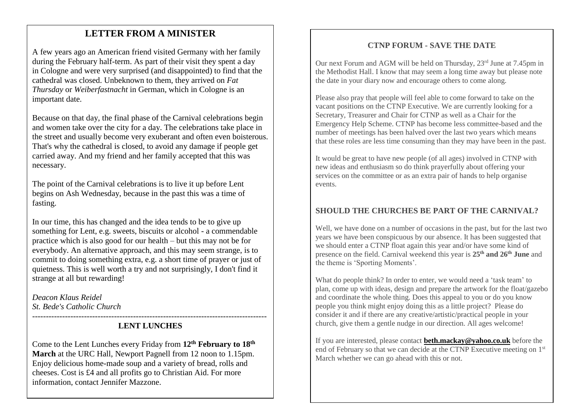# mee **LETTER FROM A MINISTER**

A few years ago an American friend visited Germany with her family during the February half-term. As part of their visit they spent a day in Cologne and were very surprised (and disappointed) to find that the cathedral was closed. Unbeknown to them, they arrived on *Fat Thursday* or *Weiberfastnacht* in German, which in Cologne is an important date.

Because on that day, the final phase of the Carnival celebrations begin and women take over the city for a day. The celebrations take place in the street and usually become very exuberant and often even boisterous. That's why the cathedral is closed, to avoid any damage if people get carried away. And my friend and her family accepted that this was necessary.

The point of the Carnival celebrations is to live it up before Lent begins on Ash Wednesday, because in the past this was a time of fasting.

In our time, this has changed and the idea tends to be to give up something for Lent, e.g. sweets, biscuits or alcohol - a commendable practice which is also good for our health – but this may not be for everybody. An alternative approach, and this may seem strange, is to commit to doing something extra, e.g. a short time of prayer or just of quietness. This is well worth a try and not surprisingly, I don't find it strange at all but rewarding!

*Deacon Klaus Reidel St. Bede's Catholic Church*

#### -------------------------------------------------------------------------------------- **LENT LUNCHES**

Come to the Lent Lunches every Friday from **12th February to 18th March** at the URC Hall, Newport Pagnell from 12 noon to 1.15pm. Enjoy delicious home-made soup and a variety of bread, rolls and cheeses. Cost is £4 and all profits go to Christian Aid. For more information, contact Jennifer Mazzone.

## **CTNP FORUM - SAVE THE DATE**

Our next Forum and AGM will be held on Thursday, 23rd June at 7.45pm in the Methodist Hall. I know that may seem a long time away but please note the date in your diary now and encourage others to come along.

Please also pray that people will feel able to come forward to take on the vacant positions on the CTNP Executive. We are currently looking for a Secretary, Treasurer and Chair for CTNP as well as a Chair for the Emergency Help Scheme. CTNP has become less committee-based and the number of meetings has been halved over the last two years which means that these roles are less time consuming than they may have been in the past.

It would be great to have new people (of all ages) involved in CTNP with new ideas and enthusiasm so do think prayerfully about offering your services on the committee or as an extra pair of hands to help organise events.

## **SHOULD THE CHURCHES BE PART OF THE CARNIVAL?**

Well, we have done on a number of occasions in the past, but for the last two years we have been conspicuous by our absence. It has been suggested that we should enter a CTNP float again this year and/or have some kind of presence on the field. Carnival weekend this year is **25th and 26th June** and the theme is 'Sporting Moments'.

What do people think? In order to enter, we would need a 'task team' to plan, come up with ideas, design and prepare the artwork for the float/gazebo and coordinate the whole thing. Does this appeal to you or do you know people you think might enjoy doing this as a little project? Please do consider it and if there are any creative/artistic/practical people in your church, give them a gentle nudge in our direction. All ages welcome!

If you are interested, please contact **[beth.mackay@yahoo.co.uk](mailto:beth.mackay@yahoo.co.uk)** before the end of February so that we can decide at the CTNP Executive meeting on 1<sup>st</sup> March whether we can go ahead with this or not.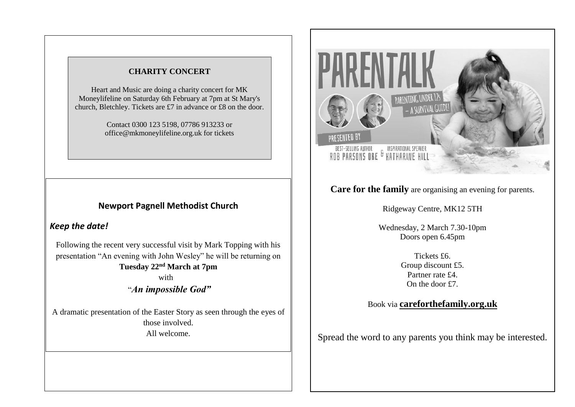#### **CHARITY CONCERT**

Heart and Music are doing a charity concert for MK Moneylifeline on Saturday 6th February at 7pm at St Mary's church, Bletchley. Tickets are £7 in advance or £8 on the door.

> Contact 0300 123 5198, 07786 913233 or office@mkmoneylifeline.org.uk for tickets

## **Newport Pagnell Methodist Church**

#### *Keep the date!*

Following the recent very successful visit by Mark Topping with his presentation "An evening with John Wesley" he will be returning on **Tuesday 22nd March at 7pm**

> with "*An impossible God"*

A dramatic presentation of the Easter Story as seen through the eyes of those involved. All welcome.



# **Care for the family** are organising an evening for parents.

Ridgeway Centre, MK12 5TH

Wednesday, 2 March 7.30-10pm Doors open 6.45pm

> Tickets £6. Group discount £5. Partner rate  $f4$ . On the door £7.

#### Book via **careforthefamily.org.uk**

Spread the word to any parents you think may be interested.